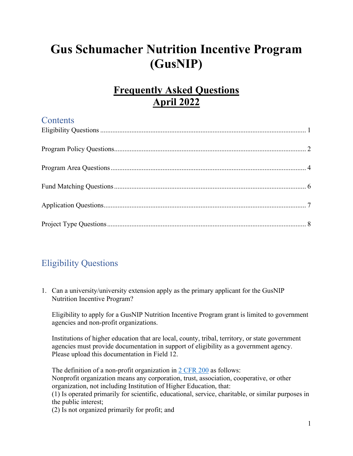# **Gus Schumacher Nutrition Incentive Program (GusNIP)**

# **Frequently Asked Questions April 2022**

# **Contents** [Eligibility Questions....................................................................................................................... 1](#page-0-0) [Program Policy Questions............................................................................................................... 2](#page-1-0) [Program Area Questions................................................................................................................. 4](#page-3-0) [Fund Matching Questions ............................................................................................................... 6](#page-5-0) [Application Questions..................................................................................................................... 7](#page-6-0) [Project Type Questions ................................................................................................................... 8](#page-7-0)

## <span id="page-0-0"></span>Eligibility Questions

1. Can a university/university extension apply as the primary applicant for the GusNIP Nutrition Incentive Program?

Eligibility to apply for a GusNIP Nutrition Incentive Program grant is limited to government agencies and non-profit organizations.

Institutions of higher education that are local, county, tribal, territory, or state government agencies must provide documentation in support of eligibility as a government agency. Please upload this documentation in Field 12.

The definition of a non-profit organization in  $2 \text{ CFR } 200$  as follows:

Nonprofit organization means any corporation, trust, association, cooperative, or other organization, not including Institution of Higher Education, that:

(1) Is operated primarily for scientific, educational, service, charitable, or similar purposes in the public interest;

(2) Is not organized primarily for profit; and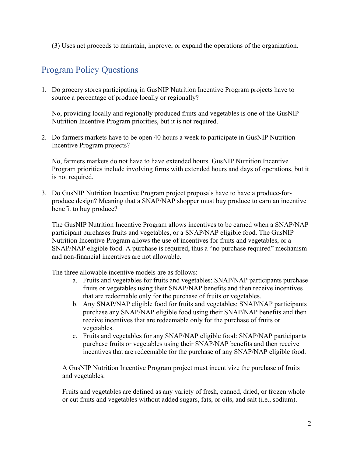(3) Uses net proceeds to maintain, improve, or expand the operations of the organization.

### <span id="page-1-0"></span>Program Policy Questions

1. Do grocery stores participating in GusNIP Nutrition Incentive Program projects have to source a percentage of produce locally or regionally?

No, providing locally and regionally produced fruits and vegetables is one of the GusNIP Nutrition Incentive Program priorities, but it is not required.

2. Do farmers markets have to be open 40 hours a week to participate in GusNIP Nutrition Incentive Program projects?

No, farmers markets do not have to have extended hours. GusNIP Nutrition Incentive Program priorities include involving firms with extended hours and days of operations, but it is not required.

3. Do GusNIP Nutrition Incentive Program project proposals have to have a produce-forproduce design? Meaning that a SNAP/NAP shopper must buy produce to earn an incentive benefit to buy produce?

The GusNIP Nutrition Incentive Program allows incentives to be earned when a SNAP/NAP participant purchases fruits and vegetables, or a SNAP/NAP eligible food. The GusNIP Nutrition Incentive Program allows the use of incentives for fruits and vegetables, or a SNAP/NAP eligible food. A purchase is required, thus a "no purchase required" mechanism and non-financial incentives are not allowable.

The three allowable incentive models are as follows:

- a. Fruits and vegetables for fruits and vegetables: SNAP/NAP participants purchase fruits or vegetables using their SNAP/NAP benefits and then receive incentives that are redeemable only for the purchase of fruits or vegetables.
- b. Any SNAP/NAP eligible food for fruits and vegetables: SNAP/NAP participants purchase any SNAP/NAP eligible food using their SNAP/NAP benefits and then receive incentives that are redeemable only for the purchase of fruits or vegetables.
- c. Fruits and vegetables for any SNAP/NAP eligible food: SNAP/NAP participants purchase fruits or vegetables using their SNAP/NAP benefits and then receive incentives that are redeemable for the purchase of any SNAP/NAP eligible food.

A GusNIP Nutrition Incentive Program project must incentivize the purchase of fruits and vegetables.

Fruits and vegetables are defined as any variety of fresh, canned, dried, or frozen whole or cut fruits and vegetables without added sugars, fats, or oils, and salt (i.e., sodium).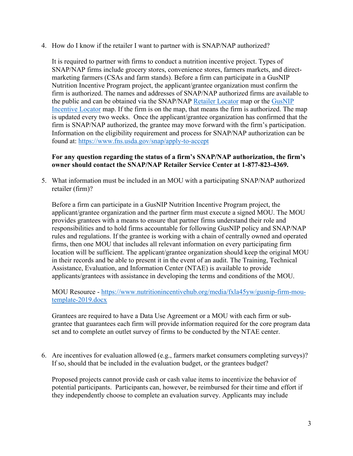4. How do I know if the retailer I want to partner with is SNAP/NAP authorized?

It is required to partner with firms to conduct a nutrition incentive project. Types of SNAP/NAP firms include grocery stores, convenience stores, farmers markets, and directmarketing farmers (CSAs and farm stands). Before a firm can participate in a GusNIP Nutrition Incentive Program project, the applicant/grantee organization must confirm the firm is authorized. The names and addresses of SNAP/NAP authorized firms are available to the public and can be obtained via the SNAP/NAP [Retailer Locator](http://www.fns.usda.gov/snap/retailerlocator) map or the [GusNIP](https://usda-fns.maps.arcgis.com/apps/webappviewer/index.html?id=e0f999086f5b4373b3e97bf016f8c216)  [Incentive Locator](https://usda-fns.maps.arcgis.com/apps/webappviewer/index.html?id=e0f999086f5b4373b3e97bf016f8c216) map. If the firm is on the map, that means the firm is authorized. The map is updated every two weeks. Once the applicant/grantee organization has confirmed that the firm is SNAP/NAP authorized, the grantee may move forward with the firm's participation. Information on the eligibility requirement and process for SNAP/NAP authorization can be found at:<https://www.fns.usda.gov/snap/apply-to-accept>

#### **For any question regarding the status of a firm's SNAP/NAP authorization, the firm's owner should contact the SNAP/NAP Retailer Service Center at 1-877-823-4369.**

5. What information must be included in an MOU with a participating SNAP/NAP authorized retailer (firm)?

Before a firm can participate in a GusNIP Nutrition Incentive Program project, the applicant/grantee organization and the partner firm must execute a signed MOU. The MOU provides grantees with a means to ensure that partner firms understand their role and responsibilities and to hold firms accountable for following GusNIP policy and SNAP/NAP rules and regulations. If the grantee is working with a chain of centrally owned and operated firms, then one MOU that includes all relevant information on every participating firm location will be sufficient. The applicant/grantee organization should keep the original MOU in their records and be able to present it in the event of an audit. The Training, Technical Assistance, Evaluation, and Information Center (NTAE) is available to provide applicants/grantees with assistance in developing the terms and conditions of the MOU.

#### MOU Resource - [https://www.nutritionincentivehub.org/media/fxla45yw/gusnip-firm-mou](https://www.nutritionincentivehub.org/media/fxla45yw/gusnip-firm-mou-template-2019.docx)[template-2019.docx](https://www.nutritionincentivehub.org/media/fxla45yw/gusnip-firm-mou-template-2019.docx)

Grantees are required to have a Data Use Agreement or a MOU with each firm or subgrantee that guarantees each firm will provide information required for the core program data set and to complete an outlet survey of firms to be conducted by the NTAE center.

6. Are incentives for evaluation allowed (e.g., farmers market consumers completing surveys)? If so, should that be included in the evaluation budget, or the grantees budget?

Proposed projects cannot provide cash or cash value items to incentivize the behavior of potential participants. Participants can, however, be reimbursed for their time and effort if they independently choose to complete an evaluation survey. Applicants may include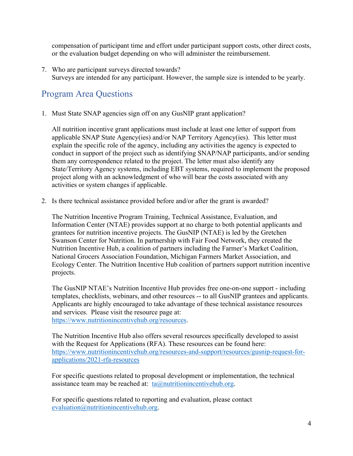compensation of participant time and effort under participant support costs, other direct costs, or the evaluation budget depending on who will administer the reimbursement.

7. Who are participant surveys directed towards? Surveys are intended for any participant. However, the sample size is intended to be yearly.

#### <span id="page-3-0"></span>Program Area Questions

1. Must State SNAP agencies sign off on any GusNIP grant application?

All nutrition incentive grant applications must include at least one letter of support from applicable SNAP State Agency(ies) and/or NAP Territory Agency(ies). This letter must explain the specific role of the agency, including any activities the agency is expected to conduct in support of the project such as identifying SNAP/NAP participants, and/or sending them any correspondence related to the project. The letter must also identify any State/Territory Agency systems, including EBT systems, required to implement the proposed project along with an acknowledgment of who will bear the costs associated with any activities or system changes if applicable.

2. Is there technical assistance provided before and/or after the grant is awarded?

The Nutrition Incentive Program Training, Technical Assistance, Evaluation, and Information Center (NTAE) provides support at no charge to both potential applicants and grantees for nutrition incentive projects. The GusNIP (NTAE) is led by the Gretchen Swanson Center for Nutrition. In partnership with Fair Food Network, they created the Nutrition Incentive Hub, a coalition of partners including the Farmer's Market Coalition, National Grocers Association Foundation, Michigan Farmers Market Association, and Ecology Center. The Nutrition Incentive Hub coalition of partners support nutrition incentive projects.

The GusNIP NTAE's Nutrition Incentive Hub provides free one-on-one support - including templates, checklists, webinars, and other resources -- to all GusNIP grantees and applicants. Applicants are highly encouraged to take advantage of these technical assistance resources and services. Please visit the resource page at: [https://www.nutritionincentivehub.org/resources.](https://www.nutritionincentivehub.org/resources)

The Nutrition Incentive Hub also offers several resources specifically developed to assist with the Request for Applications (RFA). These resources can be found here: [https://www.nutritionincentivehub.org/resources-and-support/resources/gusnip-request-for](https://www.nutritionincentivehub.org/resources-and-support/resources/gusnip-request-for-applications/2021-rfa-resources)[applications/2021-rfa-resources](https://www.nutritionincentivehub.org/resources-and-support/resources/gusnip-request-for-applications/2021-rfa-resources) 

For specific questions related to proposal development or implementation, the technical assistance team may be reached at:  $ta@$ *nutritionincentivehub.org.* 

For specific questions related to reporting and evaluation, please contact [evaluation@nutritionincentivehub.org.](mailto:evaluation@nutritionincentivehub.org)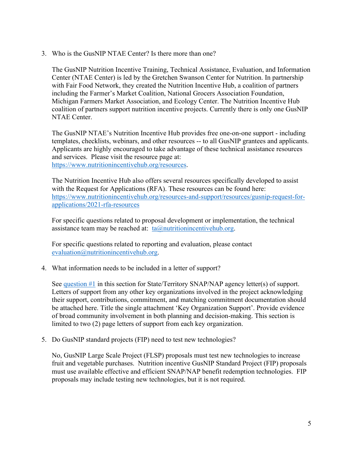3. Who is the GusNIP NTAE Center? Is there more than one?

The GusNIP Nutrition Incentive Training, Technical Assistance, Evaluation, and Information Center (NTAE Center) is led by the Gretchen Swanson Center for Nutrition. In partnership with Fair Food Network, they created the Nutrition Incentive Hub, a coalition of partners including the Farmer's Market Coalition, National Grocers Association Foundation, Michigan Farmers Market Association, and Ecology Center. The Nutrition Incentive Hub coalition of partners support nutrition incentive projects. Currently there is only one GusNIP NTAE Center.

The GusNIP NTAE's Nutrition Incentive Hub provides free one-on-one support - including templates, checklists, webinars, and other resources -- to all GusNIP grantees and applicants. Applicants are highly encouraged to take advantage of these technical assistance resources and services. Please visit the resource page at: [https://www.nutritionincentivehub.org/resources.](https://www.nutritionincentivehub.org/resources)

The Nutrition Incentive Hub also offers several resources specifically developed to assist with the Request for Applications (RFA). These resources can be found here: [https://www.nutritionincentivehub.org/resources-and-support/resources/gusnip-request-for](https://www.nutritionincentivehub.org/resources-and-support/resources/gusnip-request-for-applications/2021-rfa-resources)[applications/2021-rfa-resources](https://www.nutritionincentivehub.org/resources-and-support/resources/gusnip-request-for-applications/2021-rfa-resources) 

For specific questions related to proposal development or implementation, the technical assistance team may be reached at:  $ta@$ *nutritionincentivehub.org.* 

For specific questions related to reporting and evaluation, please contact [evaluation@nutritionincentivehub.org.](mailto:evaluation@nutritionincentivehub.org)

4. What information needs to be included in a letter of support?

See [question #1](#page-3-0) in this section for State/Territory SNAP/NAP agency letter(s) of support. Letters of support from any other key organizations involved in the project acknowledging their support, contributions, commitment, and matching commitment documentation should be attached here. Title the single attachment 'Key Organization Support'. Provide evidence of broad community involvement in both planning and decision-making. This section is limited to two (2) page letters of support from each key organization.

5. Do GusNIP standard projects (FIP) need to test new technologies?

No, GusNIP Large Scale Project (FLSP) proposals must test new technologies to increase fruit and vegetable purchases. Nutrition incentive GusNIP Standard Project (FIP) proposals must use available effective and efficient SNAP/NAP benefit redemption technologies. FIP proposals may include testing new technologies, but it is not required.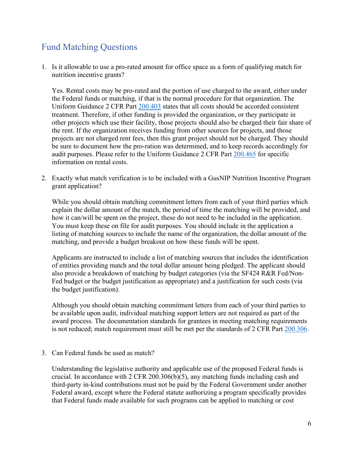## <span id="page-5-0"></span>Fund Matching Questions

1. Is it allowable to use a pro-rated amount for office space as a form of qualifying match for nutrition incentive grants?

Yes. Rental costs may be pro-rated and the portion of use charged to the award, either under the Federal funds or matching, if that is the normal procedure for that organization. The Uniform Guidance 2 CFR Part [200.403](https://www.ecfr.gov/cgi-bin/text-idx?SID=39448527cdd5ebd0a063b91b8b44f0f5&mc=true&node=pt2.1.200&rgn=div5#se2.1.200_1403) states that all costs should be accorded consistent treatment. Therefore, if other funding is provided the organization, or they participate in other projects which use their facility, those projects should also be charged their fair share of the rent. If the organization receives funding from other sources for projects, and those projects are not charged rent fees, then this grant project should not be charged. They should be sure to document how the pro-ration was determined, and to keep records accordingly for audit purposes. Please refer to the Uniform Guidance 2 CFR Part [200.465](https://www.ecfr.gov/cgi-bin/text-idx?SID=39448527cdd5ebd0a063b91b8b44f0f5&mc=true&node=pt2.1.200&rgn=div5#se2.1.200_1465) for specific information on rental costs.

2. Exactly what match verification is to be included with a GusNIP Nutrition Incentive Program grant application?

While you should obtain matching commitment letters from each of your third parties which explain the dollar amount of the match, the period of time the matching will be provided, and how it can/will be spent on the project, these do not need to be included in the application. You must keep these on file for audit purposes. You should include in the application a listing of matching sources to include the name of the organization, the dollar amount of the matching, and provide a budget breakout on how these funds will be spent.

Applicants are instructed to include a list of matching sources that includes the identification of entities providing match and the total dollar amount being pledged. The applicant should also provide a breakdown of matching by budget categories (via the SF424 R&R Fed/Non-Fed budget or the budget justification as appropriate) and a justification for such costs (via the budget justification).

Although you should obtain matching commitment letters from each of your third parties to be available upon audit, individual matching support letters are not required as part of the award process. The documentation standards for grantees in meeting matching requirements is not reduced; match requirement must still be met per the standards of 2 CFR Part [200.306.](https://www.ecfr.gov/current/title-2/subtitle-A/chapter-II/part-200/subpart-D#200.306)

3. Can Federal funds be used as match?

Understanding the legislative authority and applicable use of the proposed Federal funds is crucial. In accordance with 2 CFR 200.306(b)(5), any matching funds including cash and third-party in-kind contributions must not be paid by the Federal Government under another Federal award, except where the Federal statute authorizing a program specifically provides that Federal funds made available for such programs can be applied to matching or cost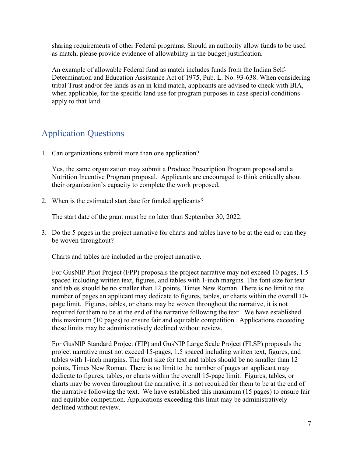sharing requirements of other Federal programs. Should an authority allow funds to be used as match, please provide evidence of allowability in the budget justification.

An example of allowable Federal fund as match includes funds from the Indian Self-Determination and Education Assistance Act of 1975, Pub. L. No. 93-638. When considering tribal Trust and/or fee lands as an in-kind match, applicants are advised to check with BIA, when applicable, for the specific land use for program purposes in case special conditions apply to that land.

### <span id="page-6-0"></span>Application Questions

1. Can organizations submit more than one application?

Yes, the same organization may submit a Produce Prescription Program proposal and a Nutrition Incentive Program proposal. Applicants are encouraged to think critically about their organization's capacity to complete the work proposed.

2. When is the estimated start date for funded applicants?

The start date of the grant must be no later than September 30, 2022.

3. Do the 5 pages in the project narrative for charts and tables have to be at the end or can they be woven throughout?

Charts and tables are included in the project narrative.

For GusNIP Pilot Project (FPP) proposals the project narrative may not exceed 10 pages, 1.5 spaced including written text, figures, and tables with 1-inch margins. The font size for text and tables should be no smaller than 12 points, Times New Roman. There is no limit to the number of pages an applicant may dedicate to figures, tables, or charts within the overall 10 page limit. Figures, tables, or charts may be woven throughout the narrative, it is not required for them to be at the end of the narrative following the text. We have established this maximum (10 pages) to ensure fair and equitable competition. Applications exceeding these limits may be administratively declined without review.

For GusNIP Standard Project (FIP) and GusNIP Large Scale Project (FLSP) proposals the project narrative must not exceed 15-pages, 1.5 spaced including written text, figures, and tables with 1-inch margins. The font size for text and tables should be no smaller than 12 points, Times New Roman. There is no limit to the number of pages an applicant may dedicate to figures, tables, or charts within the overall 15-page limit. Figures, tables, or charts may be woven throughout the narrative, it is not required for them to be at the end of the narrative following the text. We have established this maximum (15 pages) to ensure fair and equitable competition. Applications exceeding this limit may be administratively declined without review.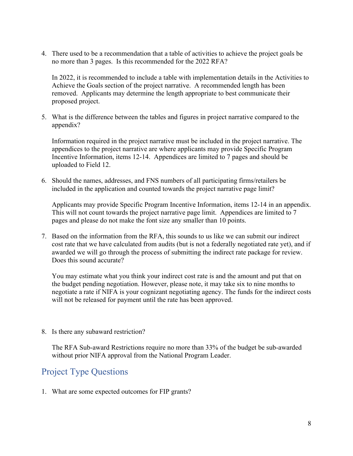4. There used to be a recommendation that a table of activities to achieve the project goals be no more than 3 pages. Is this recommended for the 2022 RFA?

In 2022, it is recommended to include a table with implementation details in the Activities to Achieve the Goals section of the project narrative. A recommended length has been removed. Applicants may determine the length appropriate to best communicate their proposed project.

5. What is the difference between the tables and figures in project narrative compared to the appendix?

Information required in the project narrative must be included in the project narrative. The appendices to the project narrative are where applicants may provide Specific Program Incentive Information, items 12-14. Appendices are limited to 7 pages and should be uploaded to Field 12.

6. Should the names, addresses, and FNS numbers of all participating firms/retailers be included in the application and counted towards the project narrative page limit?

Applicants may provide Specific Program Incentive Information, items 12-14 in an appendix. This will not count towards the project narrative page limit. Appendices are limited to 7 pages and please do not make the font size any smaller than 10 points.

7. Based on the information from the RFA, this sounds to us like we can submit our indirect cost rate that we have calculated from audits (but is not a federally negotiated rate yet), and if awarded we will go through the process of submitting the indirect rate package for review. Does this sound accurate?

You may estimate what you think your indirect cost rate is and the amount and put that on the budget pending negotiation. However, please note, it may take six to nine months to negotiate a rate if NIFA is your cognizant negotiating agency. The funds for the indirect costs will not be released for payment until the rate has been approved.

8. Is there any subaward restriction?

The RFA Sub-award Restrictions require no more than 33% of the budget be sub-awarded without prior NIFA approval from the National Program Leader.

#### <span id="page-7-0"></span>Project Type Questions

1. What are some expected outcomes for FIP grants?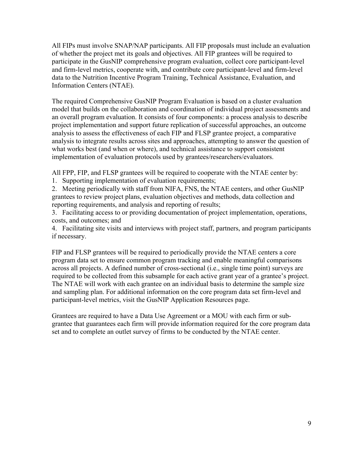All FIPs must involve SNAP/NAP participants. All FIP proposals must include an evaluation of whether the project met its goals and objectives. All FIP grantees will be required to participate in the GusNIP comprehensive program evaluation, collect core participant-level and firm-level metrics, cooperate with, and contribute core participant-level and firm-level data to the Nutrition Incentive Program Training, Technical Assistance, Evaluation, and Information Centers (NTAE).

The required Comprehensive GusNIP Program Evaluation is based on a cluster evaluation model that builds on the collaboration and coordination of individual project assessments and an overall program evaluation. It consists of four components: a process analysis to describe project implementation and support future replication of successful approaches, an outcome analysis to assess the effectiveness of each FIP and FLSP grantee project, a comparative analysis to integrate results across sites and approaches, attempting to answer the question of what works best (and when or where), and technical assistance to support consistent implementation of evaluation protocols used by grantees/researchers/evaluators.

All FPP, FIP, and FLSP grantees will be required to cooperate with the NTAE center by:

1. Supporting implementation of evaluation requirements;

2. Meeting periodically with staff from NIFA, FNS, the NTAE centers, and other GusNIP grantees to review project plans, evaluation objectives and methods, data collection and reporting requirements, and analysis and reporting of results;

3. Facilitating access to or providing documentation of project implementation, operations, costs, and outcomes; and

4. Facilitating site visits and interviews with project staff, partners, and program participants if necessary.

FIP and FLSP grantees will be required to periodically provide the NTAE centers a core program data set to ensure common program tracking and enable meaningful comparisons across all projects. A defined number of cross-sectional (i.e., single time point) surveys are required to be collected from this subsample for each active grant year of a grantee's project. The NTAE will work with each grantee on an individual basis to determine the sample size and sampling plan. For additional information on the core program data set firm-level and participant-level metrics, visit the GusNIP Application Resources page.

Grantees are required to have a Data Use Agreement or a MOU with each firm or subgrantee that guarantees each firm will provide information required for the core program data set and to complete an outlet survey of firms to be conducted by the NTAE center.